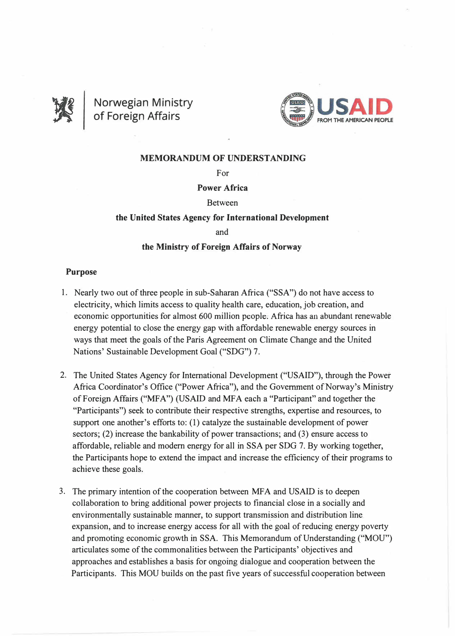

**Norwegian Ministry of Foreign Affairs** 



### **MEMORANDUM OF UNDERSTANDING**

For

## **Power Africa**

#### Between

### **the United States Agency for International Development**

and

#### **the Ministry of Foreign Affairs of Norway**

#### **Purpose**

- 1. Nearly two out of three people in sub-Saharan Africa ("SSA") do not have access to electricity, which limits access to quality health care, education, job creation, and economic opportunities for almost 600 million people. Africa has an abundant renewable energy potential to close the energy gap with affordable renewable energy sources in ways that meet the goals of the Paris Agreement on Climate Change and the United Nations' Sustainable Development Goal ("SDG") 7.
- 2. The United States Agency for International Development ("USAID"), through the Power Africa Coordinator's Office ("Power Africa"), and the Government of Norway's Ministry of Foreign Affairs ("MFA") (USAID and MFA each a "Participant" and together the "Participants") seek to contribute their respective strengths, expertise and resources, to support one another's efforts to: (1) catalyze the sustainable development of power sectors; (2) increase the bankability of power transactions; and (3) ensure access to affordable, reliable and modem energy for all in SSA per SDG 7. By working together, the Participants hope to extend the impact and increase the efficiency of their programs to achieve these goals.
- 3. The primary intention of the cooperation between MFA and USAID is to deepen collaboration to bring additional power projects to financial close in a socially and environmentally sustainable manner, to support transmi\_ssion and distribution line expansion, and to increase energy access for all with the goal of reducing energy poverty and promoting economic growth in SSA. This Memorandum of Understanding ("MOU") articulates some of the commonalities between the Participants' objectives and approaches and establishes a basis for ongoing dialogue and cooperation between the Participants. This MOU builds on the past five years of successful cooperation between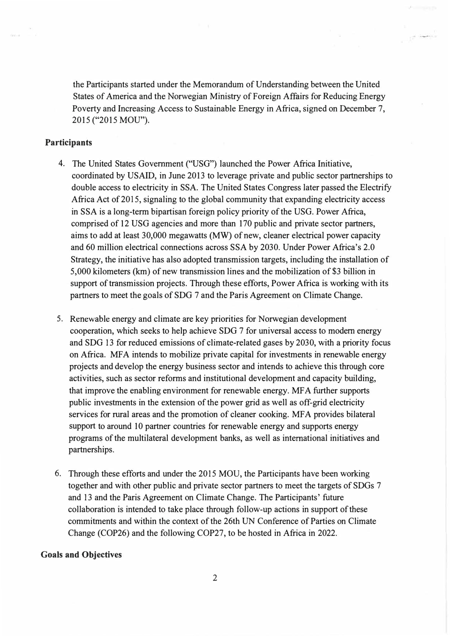the Participants started under the Memorandum of Understanding between the United States of America and the Norwegian Ministry of Foreign Affairs for Reducing Energy Poverty and Increasing Access to Sustainable Energy in Africa, signed on December 7, 2015 ("2015 MOU").

# **Participants**

- 4. The United States Government ("USG") launched the Power Africa Initiative, coordinated by USAID, in June 2013 to leverage private and public sector partnerships to double access to electricity in SSA. The United States Congress later passed the Electrify Africa Act of 2015, signaling to the global community that expanding electricity access in SSA is a long-term bipartisan foreign policy priority of the USG. Power Africa, comprised of 12 USG agencies and more than 170 public and private sector partners, aims to add at least 30,000 megawatts **(MW)** of new, cleaner electrical power capacity and 60 million electrical connections across SSA by 2030. Under Power Africa's 2.0 Strategy, the initiative has also adopted transmission targets, including the installation of 5,000 kilometers (km) of new transmission lines and the mobilization of \$3 billion in support of transmission projects. Through these efforts, Power Africa is working with its partners to meet the goals of SDG 7 and the Paris Agreement on Climate Change.
- 5. Renewable energy and climate are key priorities for Norwegian development cooperation, which seeks to help achieve SDG 7 for universal access to modern energy and SDG 13 for reduced emissions of climate-related gases by 2030, with a priority focus on Africa. MFA intends to mobilize private capital for investments in renewable energy projects and develop the energy business sector and intends to achieve this through core activities, such as sector reforms and institutional development and capacity building, that improve the enabling environment for renewable energy. MF A further supports public investments in the extension of the power grid as well as off-grid electricity services for rural areas and the promotion of cleaner cooking. MFA provides bilateral support to around 10 partner countries for renewable energy and supports energy programs of the multilateral development banks, as well as international initiatives and partnerships.
- 6. Through these efforts and under the 2015 MOU, the Participants have been working together and with other public and private sector partners to meet the targets of SDGs 7 and 13 and the Paris Agreement on Climate Change. The Participants' future collaboration is intended to take place through follow-up actions in support of these commitments and within the context of the 26th UN Conference of Parties on Climate Change (COP26) and the following COP27, to be hosted in Africa in 2022.

#### **Goals and Objectives**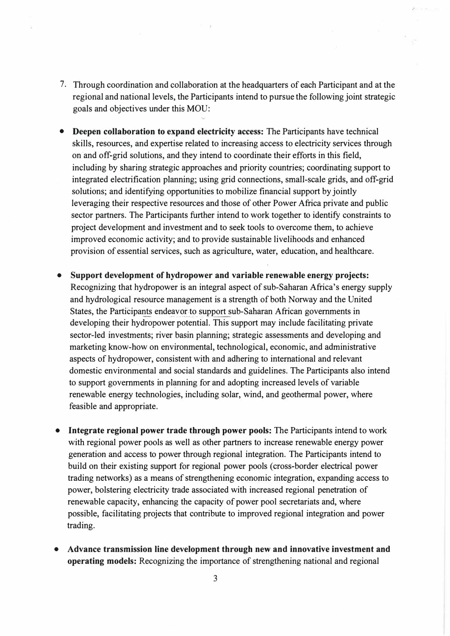- 7. Through coordination and collaboration at the headquarters of each Participant and at the regional and national levels, the Participants intend to pursue the following joint strategic goals and objectives under this MOU:
- **Deepen collaboration to expand electricity access:** The Participants have technical skills, resources, and expertise related to increasing access to electricity services through on and off-grid solutions, and they intend to coordinate their efforts in this field, including by sharing strategic approaches and priority countries; coordinating support to integrated electrification planning; using grid connections, small-scale grids, and off-grid solutions; and identifying opportunities to mobilize financial support by jointly leveraging their respective resources and those of other Power Africa private and public sector partners. The Participants further intend to work together to identify constraints to project development and investment and to seek tools to overcome them, to achieve improved economic activity; and to provide sustainable livelihoods and enhanced provision of essential services, such as agriculture, water, education, and healthcare.
- **Support development of hydropower and variable renewable energy projects:** Recognizing that hydropower is an integral aspect of sub-Saharan Africa's energy supply and hydrological resource management is a strength of both Norway and the United States, the Participants endeavor to support sub-Saharan African governments in developing their hydropower potential. This support may include facilitating private sector-led investments; river basin planning; strategic assessments and developing and marketing know-how on environmental, technological, economic, and administrative aspects of hydropower, consistent with and adhering to international and relevant domestic environmental and social standards and guidelines. The Participants also intend to support governments in planning for and adopting increased levels of variable renewable energy technologies, including solar, wind, and geothermal power, where feasible and appropriate.
- **Integrate regional power trade through power pools:** The Participants intend to work with regional power pools as well as other partners to increase renewable energy power generation and access to power through regional integration. The Participants intend to build on their existing support for regional power pools (cross-border electrical power trading networks) as a means of strengthening economic integration, expanding access to power, bolstering electricity trade associated with increased regional penetration of renewable capacity, enhancing the capacity of power pool secretariats and, where possible, facilitating projects that contribute to improved regional integration and power trading.
- **Advance transmission line development through new and innovative investment and operating models:** Recognizing the importance of strengthening national and regional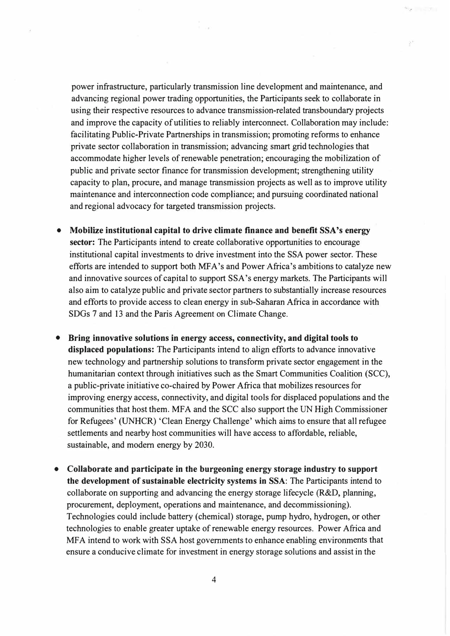power infrastructure, particularly transmission line development and maintenance, and advancing regional power trading opportunities, the Participants seek to collaborate in using their respective resources to advance transmission-related transboundary projects and improve the capacity of utilities to reliably interconnect. Collaboration may include: facilitating Public-Private Partnerships in transmission; promoting reforms to enhance private sector collaboration in transmission; advancing smart grid technologies that accommodate higher levels of renewable penetration; encouraging the mobilization of public and private sector finance for transmission development; strengthening utility capacity to plan, procure, and manage transmission projects as well as to improve utility maintenance and interconnection code compliance; and pursuing coordinated national and regional advocacy for targeted transmission projects.

- **Mobilize institutional capital to drive climate finance and benefit SSA's energy sector:** The Participants intend to create collaborative opportunities to encourage institutional capital investments to drive investment into the SSA power sector. These efforts are intended to support both MFA's and Power-Africa's ambitions to catalyze new and innovative sources of capital to support SSA's energy markets. The Participants will also aim to catalyze public and private sector partners to substantially increase resources and efforts to provide access to clean energy in sub-Saharan Africa in accordance with SDGs 7 and 13 and the Paris Agreement on Climate Change.
- **Bring innovative solutions in energy access, connectivity, and digital tools to displaced populations:** The Participants intend to align efforts to advance innovative new technology and partnership solutions to transform private sector engagement in the humanitarian context through initiatives such as the Smart Communities Coalition (SCC), a public-private initiative co-chaired by Power Africa that mobilizes resources for improving energy access, connectivity, and digital tools for displaced populations and the communities that host them. MFA and the SCC also support the UN High Commissioner for Refugees' (UNHCR) 'Clean Energy Challenge' which aims to ensure that all refugee settlements and nearby host communities will have access to affordable, reliable, sustainable, and modem energy by 2030.
- **CoUaborate and participate in the burgeoning energy storage industry to support the development of sustainable electricity systems in SSA:** The Participants intend to collaborate on supporting and advancing the energy storage lifecycle (R&D, planning, procurement, deployment, operations and maintenance, and decommissioning). Technologies could include battery (chemical) storage, pump hydro, hydrogen, or other technologies to enable greater uptake of renewable energy resources. Power Africa and MFA intend to work with SSA host governments to enhance enabling environments that ensure a conducive climate for investment in energy storage solutions and assist in the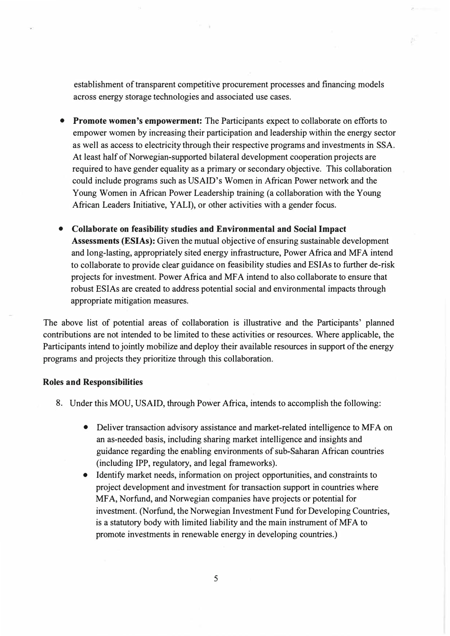establishment of transparent competitive procurement processes and financing models across energy storage technologies and associated use cases.

- **Promote women's empowerment:** The Participants expect to collaborate on efforts to empower women by increasing their participation and leadership within the energy sector as well as access to electricity through their respective programs and investments in SSA. At least half of Norwegian-supported bilateral development cooperation projects are required to have gender equality as a primary or secondary objective. This collaboration could include programs such as USAID's Women in African Power network and the Young Women in African Power Leadership training (a collaboration with the Young African Leaders Initiative, YALI), or other activities with a gender focus.
- **Collaborate on feasibility studies and Environmental and Social Impact Assessments (ESIAs):** Given the mutual objective of ensuring sustainable development and long-lasting, appropriately sited energy infrastructure, Power Africa and MF A intend to collaborate to provide clear guidance on feasibility studies and ESIAs to further de-risk projects for investment. Power Africa and MF A intend to also collaborate to ensure that robust ESIAs are created to address potential social and environmental impacts through appropriate mitigation measures.

The above list of potential areas of collaboration is illustrative and the Participants' planned contributions are not intended to be limited to these activities or resources. Where applicable, the Participants intend to jointly mobilize and deploy their available resources in support of the energy programs and projects they prioritize through this collaboration.

#### **Roles and Responsibilities**

- 8. Under this MOU, USAID, through Power Africa, intends to accomplish the following:
	- Deliver transaction advisory assistance and market-related intelligence to MFA on an as-needed basis, including sharing market intelligence and insights and guidance regarding the enabling environments of sub-Saharan African countries (including IPP, regulatory, and legal frameworks).
	- Identify market needs, information on project opportunities, and constraints to project development and investment for transaction support in countries where MF A, Norfund, and Norwegian companies have projects or potential for investment. (Norfund, the Norwegian Investment Fund for Developing Countries, is a statutory body with limited liability and the main instrument of MFA to promote investments in renewable energy in developing countries.)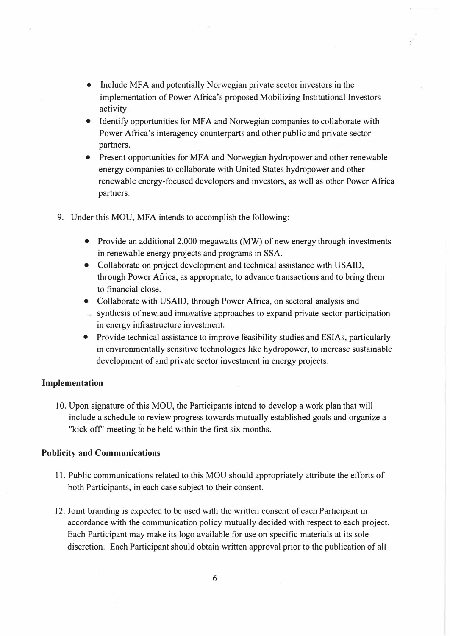- Include MFA and potentially Norwegian private sector investors in the implementation of Power Africa's proposed Mobilizing Institutional Investors activity.
- Identify opportunities for MFA and Norwegian companies to collaborate with Power Africa's interagency counterparts and other public and private sector partners.
- Present opportunities for MFA and Norwegian hydropower and other renewable energy companies to collaborate with United States hydropower and other renewable energy-focused developers and investors, as well as other Power Africa partners.
- 9. Under this MOU, MFA intends to accomplish the following:
	- Provide an additional 2,000 megawatts (MW) of new energy through investments in renewable energy projects and programs in SSA.
	- Collaborate on project development and technical assistance with USAID, through Power Africa, as appropriate, to advance transactions and to bring them to financial close.
	- Collaborate with USAID, through Power Africa, on sectoral analysis and
	- synthesis of new and innovative approaches to expand private sector participation in energy infrastructure investment.
	- Provide technical assistance to improve feasibility studies and ESIAs, particularly in environmentally sensitive technologies like hydropower, to increase sustainable development of and private sector investment in energy projects.

#### **Implementation**

10. Upon signature of this MOU, the Participants intend to develop a work plan that will include a schedule to review progress towards mutually established goals and organize a "kick off" meeting to be held within the first six months.

## **Publicity and Communications**

- 11. Public communications related to this MOU should appropriately attribute the efforts of both Participants, in each case subject to their consent.
- 12. Joint branding is expected to be used with the written consent of each Participant in accordance with the communication policy mutually decided with respect to each project. Each Participant may make its logo available for use on specific materials at its sole discretion. Each Participant should obtain written approval prior to the publication of all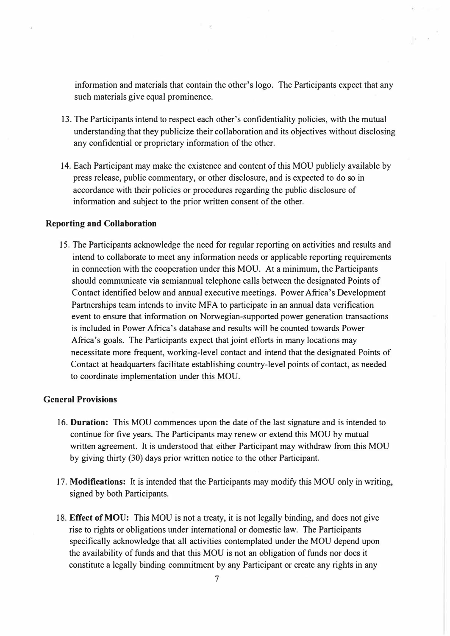information and materials that contain the other's logo. The Participants expect that any such materials give equal prominence.

- 13. The Participants intend to respect each other's confidentiality policies, with the mutual understanding that they publicize their collaboration and its objectives without disclosing any confidential or proprietary information of the other.
- 14. Each Participant may make the existence and content of this MOU publicly available by press release, public commentary, or other disclosure, and is expected to do so in accordance with their policies or procedures regarding the public disclosure of information and subject to the prior written consent of the other.

#### **Reporting and Collaboration**

15. The Participants acknowledge the need for regular reporting on activities and results and intend to collaborate to meet any information needs or applicable reporting requirements in connection with the cooperation under this MOU. At a minimum, the Participants should communicate via semiannual telephone calls between the designated Points of Contact identified below and annual executive meetings. Power Africa's Development Partnerships team intends to invite MFA to participate in an annual data verification event to ensure that information on Norwegian-supported power generation transactions is included in Power Africa's database and results will be counted towards Power Africa's goals. The Participants expect that joint efforts in many locations may necessitate more frequent, working-level contact and intend that the designated Points of Contact at headquarters facilitate establishing country-level points of contact, as needed to coordinate implementation under this MOU.

#### **General Provisions**

- 16. **Duration:** This MOU commences upon the date of the last signature and is intended to continue for five years. The Participants may renew or extend this MOU by mutual written agreement. It is understood that either Participant may withdraw from this MOU by giving thirty (30) days prior written notice to the other Participant.
- 17. **Modifications:** It is intended that the Participants may modify this MOU only in writing, signed by both Participants.
- 18. **Effect of MOU:** This MOU is not a treaty, it is not legally binding, and does not give rise to rights or obligations under international or domestic law. The Participants specifically acknowledge that all activities contemplated under the MOU depend upon the availability of funds and that this MOU is not an obligation of funds nor does it constitute a legally binding commitment by any Participant or create any rights in any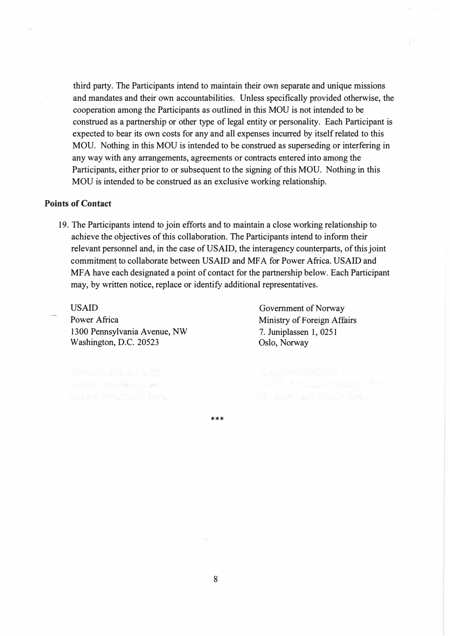third party. The Participants intend to maintain their own separate and unique missions and mandates and their own accountabilities. Unless specifically provided otherwise, the cooperation among the Participants as outlined in this MOU is not intended to be construed as a partnership or other type of legal entity or personality. Each Participant is expected to bear its own costs for any and all expenses incurred by itself related to this MOU. Nothing in this MOU is intended to be construed as superseding or interfering in any way with any arrangements, agreements or contracts entered into among the Participants, either prior to or subsequent to the signing of this MOU. Nothing in this MOU is intended to be construed as an exclusive working relationship.

#### **Points of Contact**

19. The Participants intend to join efforts and to maintain a close working relationship to achieve the objectives of this collaboration. The Participants intend to inform their relevant personnel and, in the case of USAID, the interagency counterparts, of this joint commitment to collaborate between USAID and MF A for Power Africa. USAID and MFA have each designated a point of contact for the partnership below. Each Participant may, by written notice, replace or identify additional representatives.

USAID Power Africa 1300 Pennsylvania Avenue, NW Washington, D.C. 20523

Government of Norway Ministry of Foreign Affairs 7. Juniplassen 1, 0251 Oslo, Norway

\*\*\*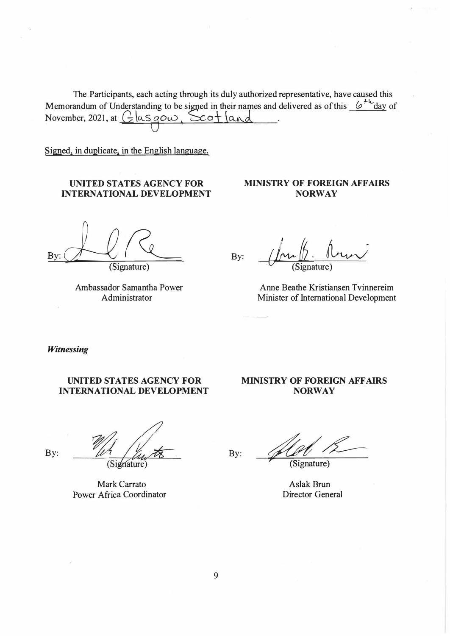The Participants, each acting through its duly authorized representative, have caused this Memorandum of Understanding to be signed in their names and delivered as of this  $\frac{(p^{\dagger k} - d\alpha)}{2}$  of November, 2021, at  $\left(\frac{1}{2} |aS \cap \omega|, \sum_{k=1}^{\infty} |a_k| \right)$ November, 2021, at  $G$  as gow,  $S$ cot  $|$  and

Signed, in duplicate, in the English language.

## **UNITED STATES AGENCY FOR INTERNATIONAL DEVELOPMENT**

 $By: L/R$ 

(Signature)

Ambassador Samantha Power Administrator

By:  $\sinh h$ . Ann  $\sqrt{\frac{\mu}{\text{Sigma}}}$  (Signature)

**MINISTRY OF FOREIGN AFFAIRS NORWAY** 

Anne Beathe Kristiansen Tvinnereim Minister of International Development

*Witnessing* 

By:

## **UNITED STATES AGENCY FOR INTERNATIONAL DEVELOPMENT**

# **MINISTRY OF FOREIGN AFFAIRS NORWAY**

(Signature)

Mark Carrato Power Africa Coordinator

By: *&£---*(Signature)

Aslak Brun Director General